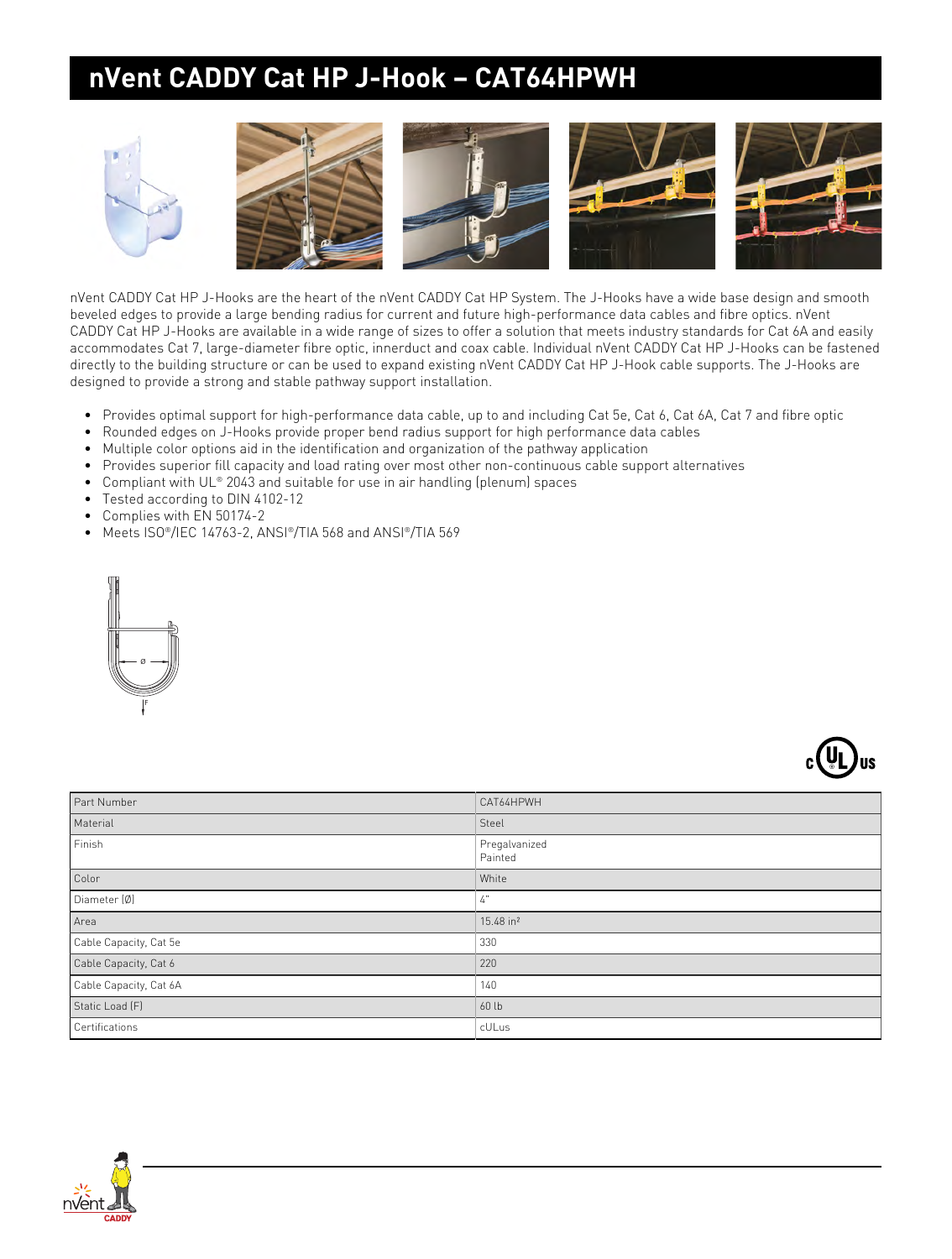## **nVent CADDY Cat HP J-Hook – CAT64HPWH**



nVent CADDY Cat HP J-Hooks are the heart of the nVent CADDY Cat HP System. The J-Hooks have a wide base design and smooth beveled edges to provide a large bending radius for current and future high-performance data cables and fibre optics. nVent CADDY Cat HP J-Hooks are available in a wide range of sizes to offer a solution that meets industry standards for Cat 6A and easily accommodates Cat 7, large-diameter fibre optic, innerduct and coax cable. Individual nVent CADDY Cat HP J-Hooks can be fastened directly to the building structure or can be used to expand existing nVent CADDY Cat HP J-Hook cable supports. The J-Hooks are designed to provide a strong and stable pathway support installation.

- Provides optimal support for high-performance data cable, up to and including Cat 5e, Cat 6, Cat 6A, Cat 7 and fibre optic
- Rounded edges on J-Hooks provide proper bend radius support for high performance data cables
- Multiple color options aid in the identification and organization of the pathway application
- Provides superior fill capacity and load rating over most other non-continuous cable support alternatives
- Compliant with UL® 2043 and suitable for use in air handling (plenum) spaces
- Tested according to DIN 4102-12
- Complies with EN 50174-2
- Meets ISO®/IEC 14763-2, ANSI®/TIA 568 and ANSI®/TIA 569





| Part Number            | CAT64HPWH                |
|------------------------|--------------------------|
| Material               | Steel                    |
| Finish                 | Pregalvanized<br>Painted |
| Color                  | White                    |
| Diameter (Ø)           | 4"                       |
| Area                   | 15.48 in <sup>2</sup>    |
| Cable Capacity, Cat 5e | 330                      |
| Cable Capacity, Cat 6  | 220                      |
| Cable Capacity, Cat 6A | 140                      |
| Static Load (F)        | 60 lb                    |
| Certifications         | cULus                    |